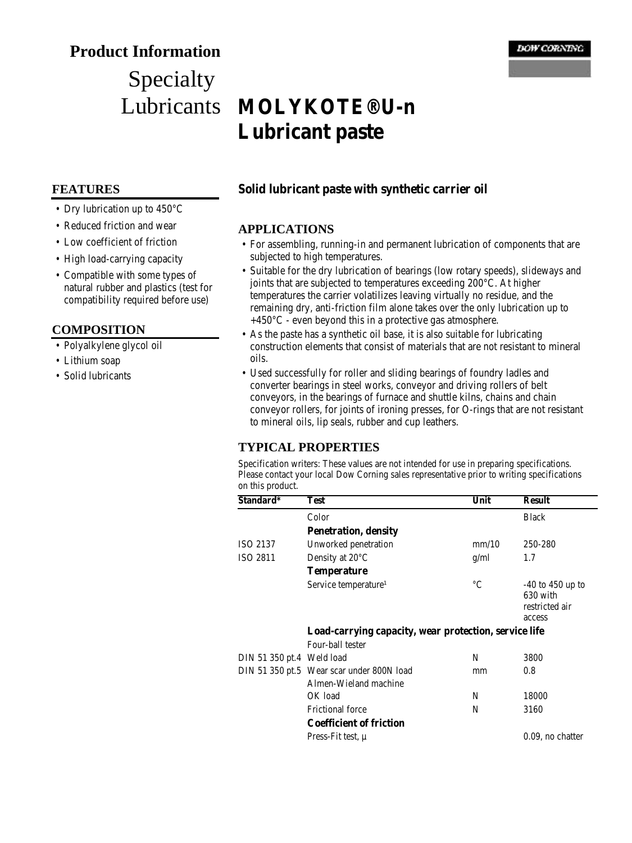## **Product Information**

# Specialty Lubricants

#### **DOW CORNING**

## **MOLYKOTE® U-n Lubricant paste**

#### **FEATURES**

- Dry lubrication up to 450°C
- Reduced friction and wear
- Low coefficient of friction
- High load-carrying capacity
- Compatible with some types of natural rubber and plastics (test for compatibility required before use)

#### **COMPOSITION**

- Polyalkylene glycol oil
- Lithium soap
- Solid lubricants

## **Solid lubricant paste with synthetic carrier oil**

#### **APPLICATIONS**

- For assembling, running-in and permanent lubrication of components that are subjected to high temperatures.
- Suitable for the dry lubrication of bearings (low rotary speeds), slideways and joints that are subjected to temperatures exceeding 200°C. At higher temperatures the carrier volatilizes leaving virtually no residue, and the remaining dry, anti-friction film alone takes over the only lubrication up to  $+450^{\circ}$ C - even beyond this in a protective gas atmosphere.
- As the paste has a synthetic oil base, it is also suitable for lubricating construction elements that consist of materials that are not resistant to mineral oils.
- Used successfully for roller and sliding bearings of foundry ladles and converter bearings in steel works, conveyor and driving rollers of belt conveyors, in the bearings of furnace and shuttle kilns, chains and chain conveyor rollers, for joints of ironing presses, for O-rings that are not resistant to mineral oils, lip seals, rubber and cup leathers.

## **TYPICAL PROPERTIES**

Specification writers: These values are not intended for use in preparing specifications. Please contact your local Dow Corning sales representative prior to writing specifications on this product.

| Standard*                 | Test                                                               | Unit        | <b>Result</b>                                                |  |  |
|---------------------------|--------------------------------------------------------------------|-------------|--------------------------------------------------------------|--|--|
|                           | Color                                                              |             | <b>Black</b>                                                 |  |  |
|                           | <b>Penetration, density</b>                                        |             |                                                              |  |  |
| ISO 2137                  | Unworked penetration                                               | mm/10       | 250-280                                                      |  |  |
| ISO 2811                  | Density at $20^{\circ}$ C                                          | g/ml        | 1.7                                                          |  |  |
|                           | <b>Temperature</b>                                                 |             |                                                              |  |  |
|                           | Service temperature <sup>1</sup>                                   | $^{\circ}C$ | $-40$ to $450$ up to<br>630 with<br>restricted air<br>access |  |  |
|                           | Load-carrying capacity, wear protection, service life              |             |                                                              |  |  |
|                           | Four-ball tester                                                   |             |                                                              |  |  |
| DIN 51 350 pt.4 Weld load |                                                                    | N           | 3800                                                         |  |  |
|                           | DIN 51 350 pt.5 Wear scar under 800N load<br>Almen-Wieland machine | mm          | 0.8                                                          |  |  |
|                           | OK load                                                            | N           | 18000                                                        |  |  |
|                           | <b>Frictional force</b>                                            | N           | 3160                                                         |  |  |
|                           | <b>Coefficient of friction</b>                                     |             |                                                              |  |  |
|                           | Press-Fit test, $\mu$                                              |             | 0.09, no chatter                                             |  |  |